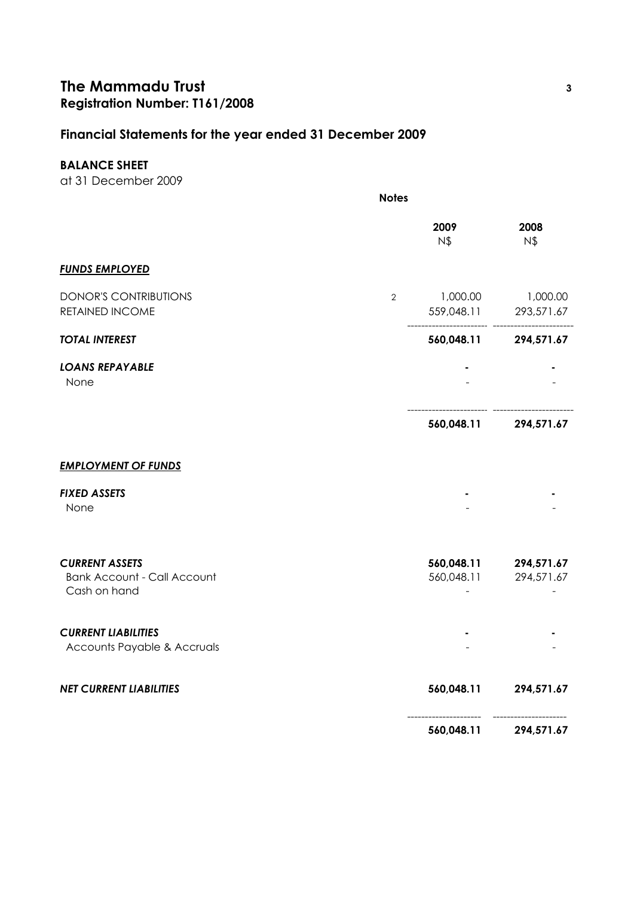# **The Mammadu Trust <sup>3</sup> Registration Number: T161/2008**

## **Financial Statements for the year ended 31 December 2009**

## **BALANCE SHEET**

at 31 December 2009

|                                                                             | <b>Notes</b>   |                          |                          |
|-----------------------------------------------------------------------------|----------------|--------------------------|--------------------------|
|                                                                             |                | 2009<br>N\$              | 2008<br>$N\$             |
| <b>FUNDS EMPLOYED</b>                                                       |                |                          |                          |
| DONOR'S CONTRIBUTIONS<br>RETAINED INCOME                                    | $\overline{2}$ | 1,000.00<br>559,048.11   | 1,000.00<br>293,571.67   |
| <b>TOTAL INTEREST</b>                                                       |                | 560,048.11               | 294,571.67               |
| <b>LOANS REPAYABLE</b><br>None                                              |                |                          |                          |
|                                                                             |                | 560,048.11               | 294,571.67               |
| <b>EMPLOYMENT OF FUNDS</b>                                                  |                |                          |                          |
| <b>FIXED ASSETS</b><br>None                                                 |                |                          |                          |
| <b>CURRENT ASSETS</b><br><b>Bank Account - Call Account</b><br>Cash on hand |                | 560,048.11<br>560,048.11 | 294,571.67<br>294,571.67 |
| <b>CURRENT LIABILITIES</b><br>Accounts Payable & Accruals                   |                |                          |                          |
| <b>NET CURRENT LIABILITIES</b>                                              |                | 560,048.11               | 294,571.67               |
|                                                                             |                | 560,048.11               | 294,571.67               |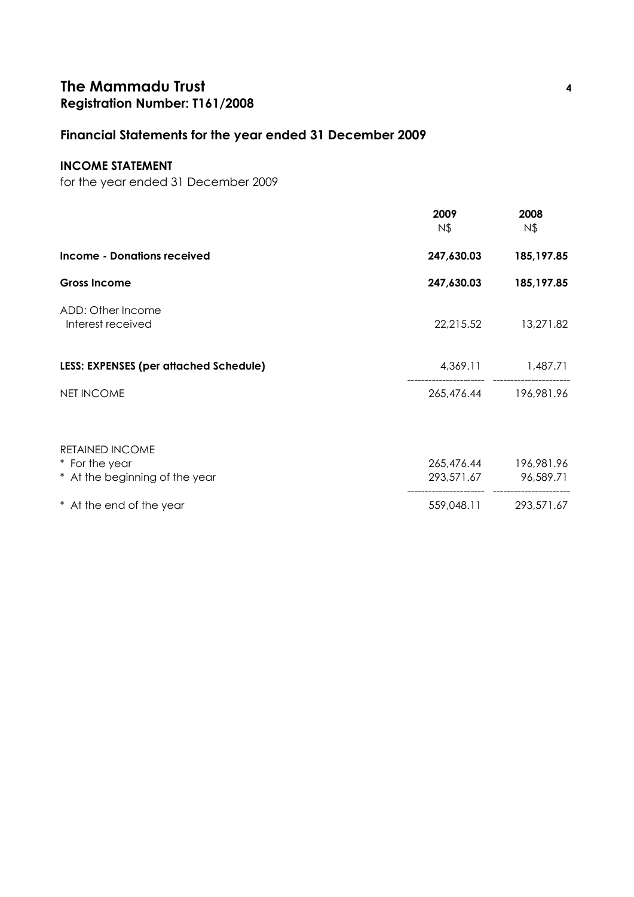# **The Mammadu Trust <sup>4</sup> Registration Number: T161/2008**

## **Financial Statements for the year ended 31 December 2009**

## **INCOME STATEMENT**

for the year ended 31 December 2009

|                                               | 2009<br>N\$ | 2008<br>N\$          |
|-----------------------------------------------|-------------|----------------------|
| <b>Income - Donations received</b>            | 247,630.03  | 185, 197.85          |
| <b>Gross Income</b>                           | 247,630.03  | 185, 197.85          |
| ADD: Other Income<br>Interest received        | 22,215.52   | 13,271.82            |
| <b>LESS: EXPENSES (per attached Schedule)</b> |             | 4,369.11 1,487.71    |
| <b>NET INCOME</b>                             | 265,476.44  | 196,981.96           |
| <b>RETAINED INCOME</b>                        |             |                      |
| * For the year                                | 265,476.44  | 196,981.96           |
| * At the beginning of the year                |             | 293,571.67 96,589.71 |
| * At the end of the year                      | 559,048.11  | 293,571.67           |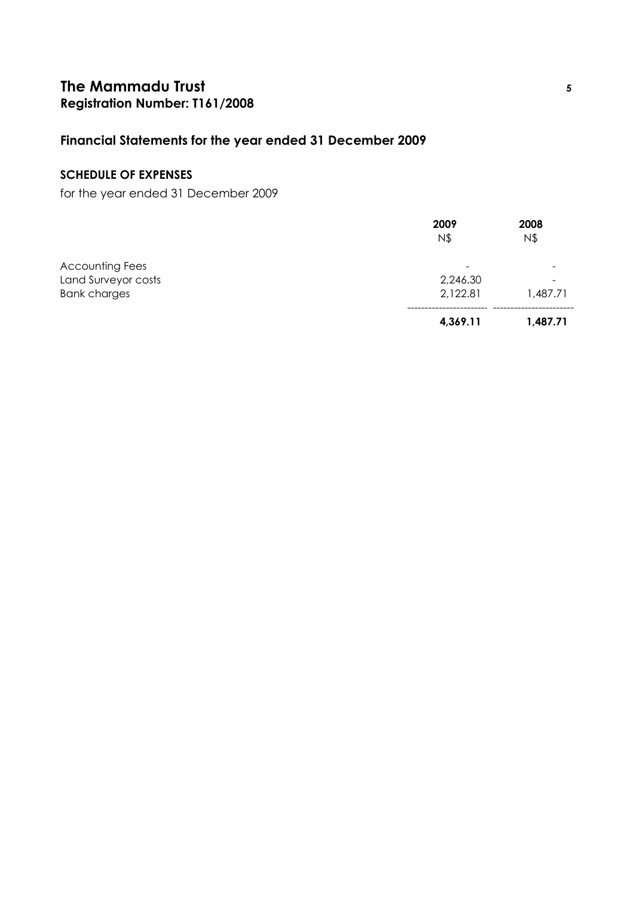# **The Mammadu Trust <sup>5</sup> Registration Number: T161/2008**

# **Financial Statements for the year ended 31 December 2009**

# **SCHEDULE OF EXPENSES**

for the year ended 31 December 2009

|                        | 2009<br>N\$ | 2008<br>N\$ |
|------------------------|-------------|-------------|
|                        |             |             |
| <b>Accounting Fees</b> |             |             |
| Land Surveyor costs    | 2,246.30    | -           |
| <b>Bank charges</b>    | 2,122.81    | 1,487.71    |
|                        | 4,369.11    | 1,487.71    |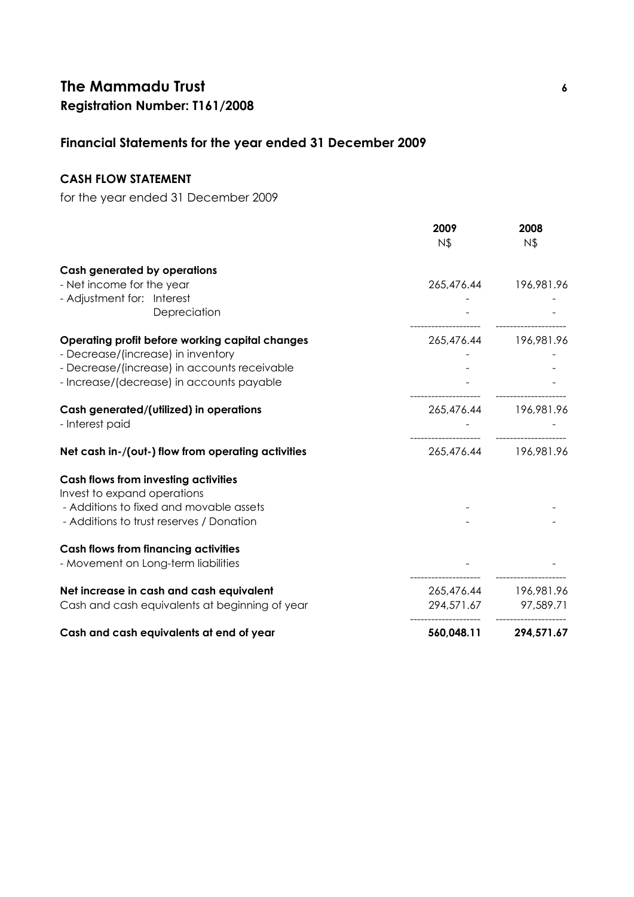# **The Mammadu Trust 6 Registration Number: T161/2008**

# **Financial Statements for the year ended 31 December 2009**

#### **CASH FLOW STATEMENT**

for the year ended 31 December 2009

|                                                    | 2009<br>N\$ | 2008<br>N\$           |
|----------------------------------------------------|-------------|-----------------------|
| <b>Cash generated by operations</b>                |             |                       |
| - Net income for the year                          |             | 265,476.44 196,981.96 |
| - Adjustment for: Interest                         |             |                       |
| Depreciation                                       |             |                       |
| Operating profit before working capital changes    |             | 265,476.44 196,981.96 |
| - Decrease/(increase) in inventory                 |             |                       |
| - Decrease/(increase) in accounts receivable       |             |                       |
| - Increase/(decrease) in accounts payable          |             |                       |
| Cash generated/(utilized) in operations            |             | 265,476.44 196,981.96 |
| - Interest paid                                    |             |                       |
| Net cash in-/(out-) flow from operating activities |             | 265,476.44 196,981.96 |
| <b>Cash flows from investing activities</b>        |             |                       |
| Invest to expand operations                        |             |                       |
| - Additions to fixed and movable assets            |             |                       |
| - Additions to trust reserves / Donation           |             |                       |
| <b>Cash flows from financing activities</b>        |             |                       |
| - Movement on Long-term liabilities                |             |                       |
| Net increase in cash and cash equivalent           |             | 265,476.44 196,981.96 |
| Cash and cash equivalents at beginning of year     | 294,571.67  | 97,589.71             |
| Cash and cash equivalents at end of year           | 560,048.11  | 294,571.67            |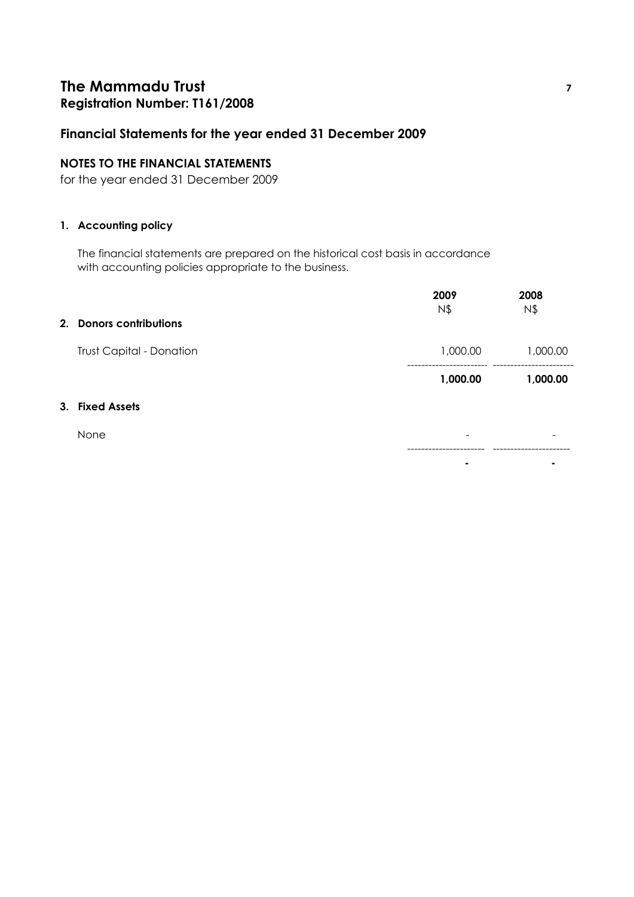# **The Mammadu Trust <sup>7</sup> Registration Number: T161/2008**

### **Financial Statements for the year ended 31 December 2009**

#### **NOTES TO THE FINANCIAL STATEMENTS**

for the year ended 31 December 2009

#### **1. Accounting policy**

 The financial statements are prepared on the historical cost basis in accordance with accounting policies appropriate to the business.

|                                 | 2009<br>$N\$ | 2008<br>$N\$ |
|---------------------------------|--------------|--------------|
| 2. Donors contributions         |              |              |
| <b>Trust Capital - Donation</b> | 1,000.00     | 1,000.00     |
|                                 | 1,000.00     | 1,000.00     |
| 3. Fixed Assets                 |              |              |
| None                            |              |              |
|                                 | ۰            |              |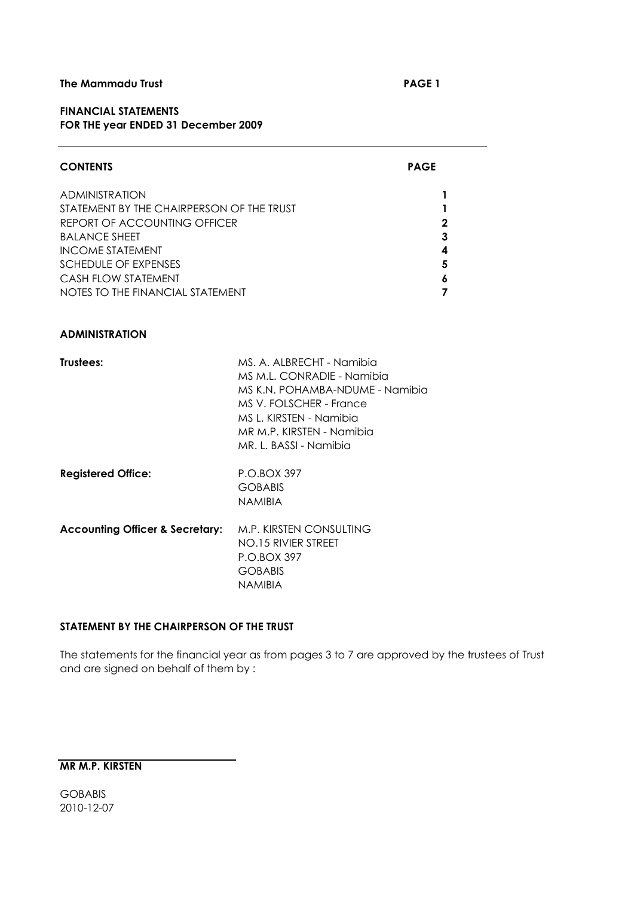#### **FINANCIAL STATEMENTS FOR THE year ENDED 31 December 2009**

# **CONTENTS PAGE** ADMINISTRATION **1** STATEMENT BY THE CHAIRPERSON OF THE TRUST **1** REPORT OF ACCOUNTING OFFICER **2 BALANCE SHEET 3** INCOME STATEMENT **4**

# **SCHEDULE OF EXPENSES 5** CASH FLOW STATEMENT **6** NOTES TO THE FINANCIAL STATEMENT **7**

#### **ADMINISTRATION**

| Trustees:                                  | MS. A. AI BRFCHT - Namibia<br>MS M.L. CONRADIE - Namibia<br>MS K.N. POHAMBA-NDUME - Namibia<br>MS V. FOLSCHER - France<br>MS L. KIRSTEN - Namibia<br>MR M.P. KIRSTEN - Namibia<br>MR. L. BASSI - Namibia |
|--------------------------------------------|----------------------------------------------------------------------------------------------------------------------------------------------------------------------------------------------------------|
| <b>Registered Office:</b>                  | P.O.BOX 397<br><b>GOBABIS</b><br>NAMIBIA                                                                                                                                                                 |
| <b>Accounting Officer &amp; Secretary:</b> | M.P. KIRSTEN CONSULTING<br>NO.15 RIVIER STREET<br>P.O.BOX 397<br><b>GOBABIS</b><br><b>NAMIBIA</b>                                                                                                        |

#### **STATEMENT BY THE CHAIRPERSON OF THE TRUST**

The statements for the financial year as from pages 3 to 7 are approved by the trustees of Trust and are signed on behalf of them by :

#### **MR M.P. KIRSTEN**

**GOBABIS** 2010-12-07